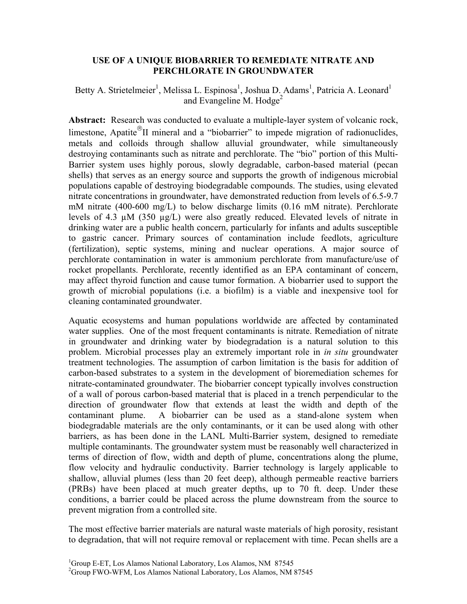## **USE OF A UNIQUE BIOBARRIER TO REMEDIATE NITRATE AND PERCHLORATE IN GROUNDWATER**

Betty A. Strietelmeier<sup>1</sup>, Melissa L. Espinosa<sup>1</sup>, Joshua D. Adams<sup>1</sup>, Patricia A. Leonard<sup>1</sup> and Evangeline M. Hodge<sup>2</sup>

**Abstract:** Research was conducted to evaluate a multiple-layer system of volcanic rock, limestone, Apatite<sup>®</sup>II mineral and a "biobarrier" to impede migration of radionuclides, metals and colloids through shallow alluvial groundwater, while simultaneously destroying contaminants such as nitrate and perchlorate. The "bio" portion of this Multi-Barrier system uses highly porous, slowly degradable, carbon-based material (pecan shells) that serves as an energy source and supports the growth of indigenous microbial populations capable of destroying biodegradable compounds. The studies, using elevated nitrate concentrations in groundwater, have demonstrated reduction from levels of 6.5-9.7 mM nitrate (400-600 mg/L) to below discharge limits (0.16 mM nitrate). Perchlorate levels of 4.3 µM (350 µg/L) were also greatly reduced. Elevated levels of nitrate in drinking water are a public health concern, particularly for infants and adults susceptible to gastric cancer. Primary sources of contamination include feedlots, agriculture (fertilization), septic systems, mining and nuclear operations. A major source of perchlorate contamination in water is ammonium perchlorate from manufacture/use of rocket propellants. Perchlorate, recently identified as an EPA contaminant of concern, may affect thyroid function and cause tumor formation. A biobarrier used to support the growth of microbial populations (i.e. a biofilm) is a viable and inexpensive tool for cleaning contaminated groundwater.

Aquatic ecosystems and human populations worldwide are affected by contaminated water supplies. One of the most frequent contaminants is nitrate. Remediation of nitrate in groundwater and drinking water by biodegradation is a natural solution to this problem. Microbial processes play an extremely important role in *in situ* groundwater treatment technologies. The assumption of carbon limitation is the basis for addition of carbon-based substrates to a system in the development of bioremediation schemes for nitrate-contaminated groundwater. The biobarrier concept typically involves construction of a wall of porous carbon-based material that is placed in a trench perpendicular to the direction of groundwater flow that extends at least the width and depth of the contaminant plume. A biobarrier can be used as a stand-alone system when biodegradable materials are the only contaminants, or it can be used along with other barriers, as has been done in the LANL Multi-Barrier system, designed to remediate multiple contaminants. The groundwater system must be reasonably well characterized in terms of direction of flow, width and depth of plume, concentrations along the plume, flow velocity and hydraulic conductivity. Barrier technology is largely applicable to shallow, alluvial plumes (less than 20 feet deep), although permeable reactive barriers (PRBs) have been placed at much greater depths, up to 70 ft. deep. Under these conditions, a barrier could be placed across the plume downstream from the source to prevent migration from a controlled site.

The most effective barrier materials are natural waste materials of high porosity, resistant to degradation, that will not require removal or replacement with time. Pecan shells are a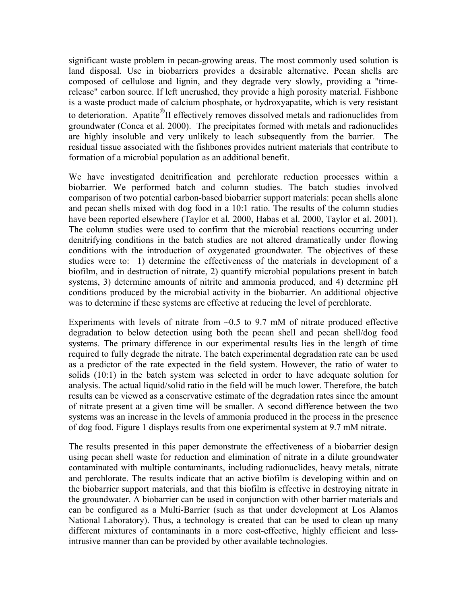significant waste problem in pecan-growing areas. The most commonly used solution is land disposal. Use in biobarriers provides a desirable alternative. Pecan shells are composed of cellulose and lignin, and they degrade very slowly, providing a "timerelease" carbon source. If left uncrushed, they provide a high porosity material. Fishbone is a waste product made of calcium phosphate, or hydroxyapatite, which is very resistant to deterioration. Apatite<sup>®</sup>II effectively removes dissolved metals and radionuclides from groundwater (Conca et al. 2000). The precipitates formed with metals and radionuclides are highly insoluble and very unlikely to leach subsequently from the barrier. The residual tissue associated with the fishbones provides nutrient materials that contribute to formation of a microbial population as an additional benefit.

We have investigated denitrification and perchlorate reduction processes within a biobarrier. We performed batch and column studies. The batch studies involved comparison of two potential carbon-based biobarrier support materials: pecan shells alone and pecan shells mixed with dog food in a 10:1 ratio. The results of the column studies have been reported elsewhere (Taylor et al. 2000, Habas et al. 2000, Taylor et al. 2001). The column studies were used to confirm that the microbial reactions occurring under denitrifying conditions in the batch studies are not altered dramatically under flowing conditions with the introduction of oxygenated groundwater. The objectives of these studies were to: 1) determine the effectiveness of the materials in development of a biofilm, and in destruction of nitrate, 2) quantify microbial populations present in batch systems, 3) determine amounts of nitrite and ammonia produced, and 4) determine pH conditions produced by the microbial activity in the biobarrier. An additional objective was to determine if these systems are effective at reducing the level of perchlorate.

Experiments with levels of nitrate from  $\sim 0.5$  to 9.7 mM of nitrate produced effective degradation to below detection using both the pecan shell and pecan shell/dog food systems. The primary difference in our experimental results lies in the length of time required to fully degrade the nitrate. The batch experimental degradation rate can be used as a predictor of the rate expected in the field system. However, the ratio of water to solids (10:1) in the batch system was selected in order to have adequate solution for analysis. The actual liquid/solid ratio in the field will be much lower. Therefore, the batch results can be viewed as a conservative estimate of the degradation rates since the amount of nitrate present at a given time will be smaller. A second difference between the two systems was an increase in the levels of ammonia produced in the process in the presence of dog food. Figure 1 displays results from one experimental system at 9.7 mM nitrate.

The results presented in this paper demonstrate the effectiveness of a biobarrier design using pecan shell waste for reduction and elimination of nitrate in a dilute groundwater contaminated with multiple contaminants, including radionuclides, heavy metals, nitrate and perchlorate. The results indicate that an active biofilm is developing within and on the biobarrier support materials, and that this biofilm is effective in destroying nitrate in the groundwater. A biobarrier can be used in conjunction with other barrier materials and can be configured as a Multi-Barrier (such as that under development at Los Alamos National Laboratory). Thus, a technology is created that can be used to clean up many different mixtures of contaminants in a more cost-effective, highly efficient and lessintrusive manner than can be provided by other available technologies.